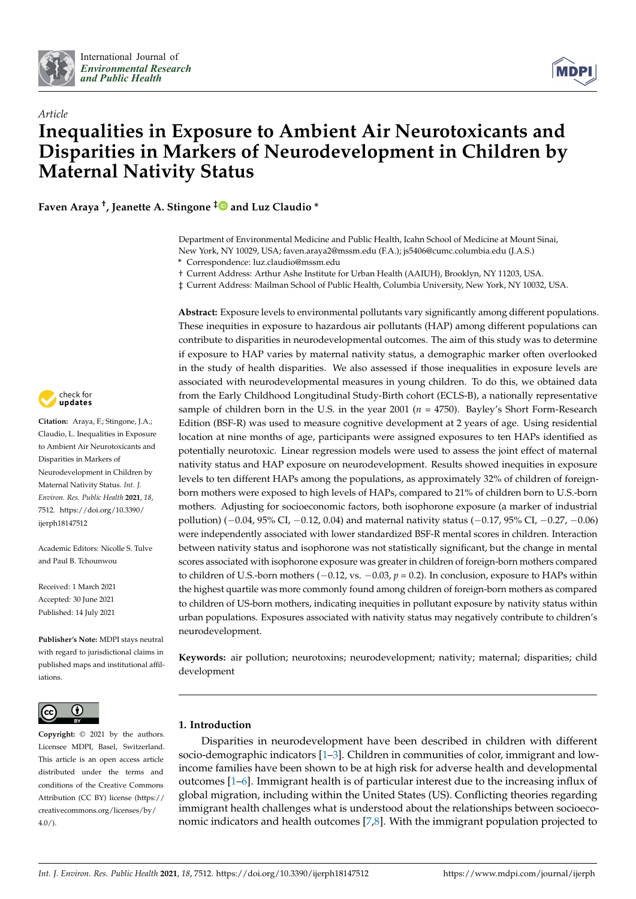



# *Article* **Inequalities in Exposure to Ambient Air Neurotoxicants and Disparities in Markers of Neurodevelopment in Children by Maternal Nativity Status**

**Faven Araya † , Jeanette A. Stingone [‡](https://orcid.org/0000-0003-3508-8260) and Luz Claudio \***

† Current Address: Arthur Ashe Institute for Urban Health (AAIUH), Brooklyn, NY 11203, USA.

‡ Current Address: Mailman School of Public Health, Columbia University, New York, NY 10032, USA.

**Abstract:** Exposure levels to environmental pollutants vary significantly among different populations.



**Citation:** Araya, F.; Stingone, J.A.; Claudio, L. Inequalities in Exposure to Ambient Air Neurotoxicants and Disparities in Markers of Neurodevelopment in Children by Maternal Nativity Status. *Int. J. Environ. Res. Public Health* **2021**, *18*, 7512. [https://doi.org/10.3390/](https://doi.org/10.3390/ijerph18147512) [ijerph18147512](https://doi.org/10.3390/ijerph18147512)

Academic Editors: Nicolle S. Tulve and Paul B. Tchounwou

Received: 1 March 2021 Accepted: 30 June 2021 Published: 14 July 2021

**Publisher's Note:** MDPI stays neutral with regard to jurisdictional claims in published maps and institutional affiliations.



**Copyright:** © 2021 by the authors. Licensee MDPI, Basel, Switzerland. This article is an open access article distributed under the terms and conditions of the Creative Commons Attribution (CC BY) license (https:/[/](https://creativecommons.org/licenses/by/4.0/) [creativecommons.org/licenses/by/](https://creativecommons.org/licenses/by/4.0/)  $4.0/$ ).

These inequities in exposure to hazardous air pollutants (HAP) among different populations can contribute to disparities in neurodevelopmental outcomes. The aim of this study was to determine if exposure to HAP varies by maternal nativity status, a demographic marker often overlooked in the study of health disparities. We also assessed if those inequalities in exposure levels are associated with neurodevelopmental measures in young children. To do this, we obtained data from the Early Childhood Longitudinal Study-Birth cohort (ECLS-B), a nationally representative sample of children born in the U.S. in the year 2001 (*n* = 4750). Bayley's Short Form-Research Edition (BSF-R) was used to measure cognitive development at 2 years of age. Using residential location at nine months of age, participants were assigned exposures to ten HAPs identified as potentially neurotoxic. Linear regression models were used to assess the joint effect of maternal nativity status and HAP exposure on neurodevelopment. Results showed inequities in exposure levels to ten different HAPs among the populations, as approximately 32% of children of foreignborn mothers were exposed to high levels of HAPs, compared to 21% of children born to U.S.-born mothers. Adjusting for socioeconomic factors, both isophorone exposure (a marker of industrial pollution) (−0.04, 95% CI, −0.12, 0.04) and maternal nativity status (−0.17, 95% CI, −0.27, −0.06) were independently associated with lower standardized BSF-R mental scores in children. Interaction between nativity status and isophorone was not statistically significant, but the change in mental scores associated with isophorone exposure was greater in children of foreign-born mothers compared to children of U.S.-born mothers (−0.12, vs. −0.03, *p* = 0.2). In conclusion, exposure to HAPs within the highest quartile was more commonly found among children of foreign-born mothers as compared to children of US-born mothers, indicating inequities in pollutant exposure by nativity status within urban populations. Exposures associated with nativity status may negatively contribute to children's neurodevelopment.

**Keywords:** air pollution; neurotoxins; neurodevelopment; nativity; maternal; disparities; child development

# **1. Introduction**

Disparities in neurodevelopment have been described in children with different socio-demographic indicators [\[1–](#page-9-0)[3\]](#page-9-1). Children in communities of color, immigrant and lowincome families have been shown to be at high risk for adverse health and developmental outcomes [\[1](#page-9-0)[–6\]](#page-9-2). Immigrant health is of particular interest due to the increasing influx of global migration, including within the United States (US). Conflicting theories regarding immigrant health challenges what is understood about the relationships between socioeconomic indicators and health outcomes [\[7](#page-9-3)[,8\]](#page-9-4). With the immigrant population projected to

Department of Environmental Medicine and Public Health, Icahn School of Medicine at Mount Sinai, New York, NY 10029, USA; faven.araya2@mssm.edu (F.A.); js5406@cumc.columbia.edu (J.A.S.) **\*** Correspondence: luz.claudio@mssm.edu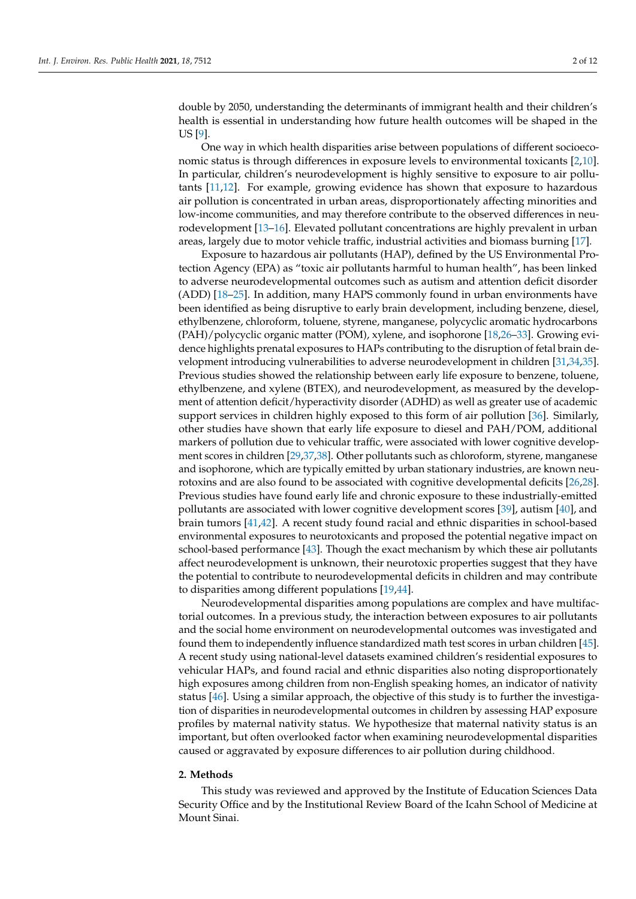double by 2050, understanding the determinants of immigrant health and their children's health is essential in understanding how future health outcomes will be shaped in the US [\[9\]](#page-9-5).

One way in which health disparities arise between populations of different socioeconomic status is through differences in exposure levels to environmental toxicants [\[2,](#page-9-6)[10\]](#page-9-7). In particular, children's neurodevelopment is highly sensitive to exposure to air pollutants [\[11](#page-9-8)[,12\]](#page-9-9). For example, growing evidence has shown that exposure to hazardous air pollution is concentrated in urban areas, disproportionately affecting minorities and low-income communities, and may therefore contribute to the observed differences in neurodevelopment [\[13–](#page-9-10)[16\]](#page-9-11). Elevated pollutant concentrations are highly prevalent in urban areas, largely due to motor vehicle traffic, industrial activities and biomass burning [\[17\]](#page-9-12).

Exposure to hazardous air pollutants (HAP), defined by the US Environmental Protection Agency (EPA) as "toxic air pollutants harmful to human health", has been linked to adverse neurodevelopmental outcomes such as autism and attention deficit disorder (ADD) [\[18](#page-9-13)[–25\]](#page-9-14). In addition, many HAPS commonly found in urban environments have been identified as being disruptive to early brain development, including benzene, diesel, ethylbenzene, chloroform, toluene, styrene, manganese, polycyclic aromatic hydrocarbons (PAH)/polycyclic organic matter (POM), xylene, and isophorone [\[18,](#page-9-13)[26–](#page-9-15)[33\]](#page-10-0). Growing evidence highlights prenatal exposures to HAPs contributing to the disruption of fetal brain development introducing vulnerabilities to adverse neurodevelopment in children [\[31](#page-10-1)[,34](#page-10-2)[,35\]](#page-10-3). Previous studies showed the relationship between early life exposure to benzene, toluene, ethylbenzene, and xylene (BTEX), and neurodevelopment, as measured by the development of attention deficit/hyperactivity disorder (ADHD) as well as greater use of academic support services in children highly exposed to this form of air pollution [\[36\]](#page-10-4). Similarly, other studies have shown that early life exposure to diesel and PAH/POM, additional markers of pollution due to vehicular traffic, were associated with lower cognitive development scores in children [\[29,](#page-10-5)[37,](#page-10-6)[38\]](#page-10-7). Other pollutants such as chloroform, styrene, manganese and isophorone, which are typically emitted by urban stationary industries, are known neurotoxins and are also found to be associated with cognitive developmental deficits [\[26](#page-9-15)[,28\]](#page-10-8). Previous studies have found early life and chronic exposure to these industrially-emitted pollutants are associated with lower cognitive development scores [\[39\]](#page-10-9), autism [\[40\]](#page-10-10), and brain tumors [\[41](#page-10-11)[,42\]](#page-10-12). A recent study found racial and ethnic disparities in school-based environmental exposures to neurotoxicants and proposed the potential negative impact on school-based performance [\[43\]](#page-10-13). Though the exact mechanism by which these air pollutants affect neurodevelopment is unknown, their neurotoxic properties suggest that they have the potential to contribute to neurodevelopmental deficits in children and may contribute to disparities among different populations [\[19,](#page-9-16)[44\]](#page-10-14).

Neurodevelopmental disparities among populations are complex and have multifactorial outcomes. In a previous study, the interaction between exposures to air pollutants and the social home environment on neurodevelopmental outcomes was investigated and found them to independently influence standardized math test scores in urban children [\[45\]](#page-10-15). A recent study using national-level datasets examined children's residential exposures to vehicular HAPs, and found racial and ethnic disparities also noting disproportionately high exposures among children from non-English speaking homes, an indicator of nativity status [\[46\]](#page-10-16). Using a similar approach, the objective of this study is to further the investigation of disparities in neurodevelopmental outcomes in children by assessing HAP exposure profiles by maternal nativity status. We hypothesize that maternal nativity status is an important, but often overlooked factor when examining neurodevelopmental disparities caused or aggravated by exposure differences to air pollution during childhood.

#### **2. Methods**

This study was reviewed and approved by the Institute of Education Sciences Data Security Office and by the Institutional Review Board of the Icahn School of Medicine at Mount Sinai.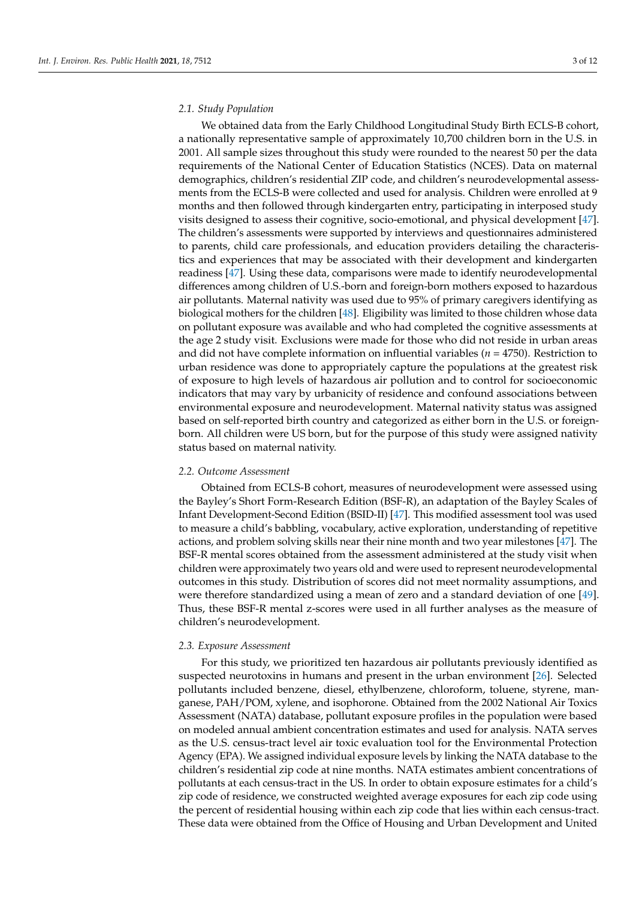#### *2.1. Study Population*

We obtained data from the Early Childhood Longitudinal Study Birth ECLS-B cohort, a nationally representative sample of approximately 10,700 children born in the U.S. in 2001. All sample sizes throughout this study were rounded to the nearest 50 per the data requirements of the National Center of Education Statistics (NCES). Data on maternal demographics, children's residential ZIP code, and children's neurodevelopmental assessments from the ECLS-B were collected and used for analysis. Children were enrolled at 9 months and then followed through kindergarten entry, participating in interposed study visits designed to assess their cognitive, socio-emotional, and physical development [\[47\]](#page-10-17). The children's assessments were supported by interviews and questionnaires administered to parents, child care professionals, and education providers detailing the characteristics and experiences that may be associated with their development and kindergarten readiness [\[47\]](#page-10-17). Using these data, comparisons were made to identify neurodevelopmental differences among children of U.S.-born and foreign-born mothers exposed to hazardous air pollutants. Maternal nativity was used due to 95% of primary caregivers identifying as biological mothers for the children [\[48\]](#page-10-18). Eligibility was limited to those children whose data on pollutant exposure was available and who had completed the cognitive assessments at the age 2 study visit. Exclusions were made for those who did not reside in urban areas and did not have complete information on influential variables (*n* = 4750). Restriction to urban residence was done to appropriately capture the populations at the greatest risk of exposure to high levels of hazardous air pollution and to control for socioeconomic indicators that may vary by urbanicity of residence and confound associations between environmental exposure and neurodevelopment. Maternal nativity status was assigned based on self-reported birth country and categorized as either born in the U.S. or foreignborn. All children were US born, but for the purpose of this study were assigned nativity status based on maternal nativity.

#### *2.2. Outcome Assessment*

Obtained from ECLS-B cohort, measures of neurodevelopment were assessed using the Bayley's Short Form-Research Edition (BSF-R), an adaptation of the Bayley Scales of Infant Development-Second Edition (BSID-II) [\[47\]](#page-10-17). This modified assessment tool was used to measure a child's babbling, vocabulary, active exploration, understanding of repetitive actions, and problem solving skills near their nine month and two year milestones [\[47\]](#page-10-17). The BSF-R mental scores obtained from the assessment administered at the study visit when children were approximately two years old and were used to represent neurodevelopmental outcomes in this study. Distribution of scores did not meet normality assumptions, and were therefore standardized using a mean of zero and a standard deviation of one [\[49\]](#page-10-19). Thus, these BSF-R mental z-scores were used in all further analyses as the measure of children's neurodevelopment.

#### *2.3. Exposure Assessment*

For this study, we prioritized ten hazardous air pollutants previously identified as suspected neurotoxins in humans and present in the urban environment [\[26\]](#page-9-15). Selected pollutants included benzene, diesel, ethylbenzene, chloroform, toluene, styrene, manganese, PAH/POM, xylene, and isophorone. Obtained from the 2002 National Air Toxics Assessment (NATA) database, pollutant exposure profiles in the population were based on modeled annual ambient concentration estimates and used for analysis. NATA serves as the U.S. census-tract level air toxic evaluation tool for the Environmental Protection Agency (EPA). We assigned individual exposure levels by linking the NATA database to the children's residential zip code at nine months. NATA estimates ambient concentrations of pollutants at each census-tract in the US. In order to obtain exposure estimates for a child's zip code of residence, we constructed weighted average exposures for each zip code using the percent of residential housing within each zip code that lies within each census-tract. These data were obtained from the Office of Housing and Urban Development and United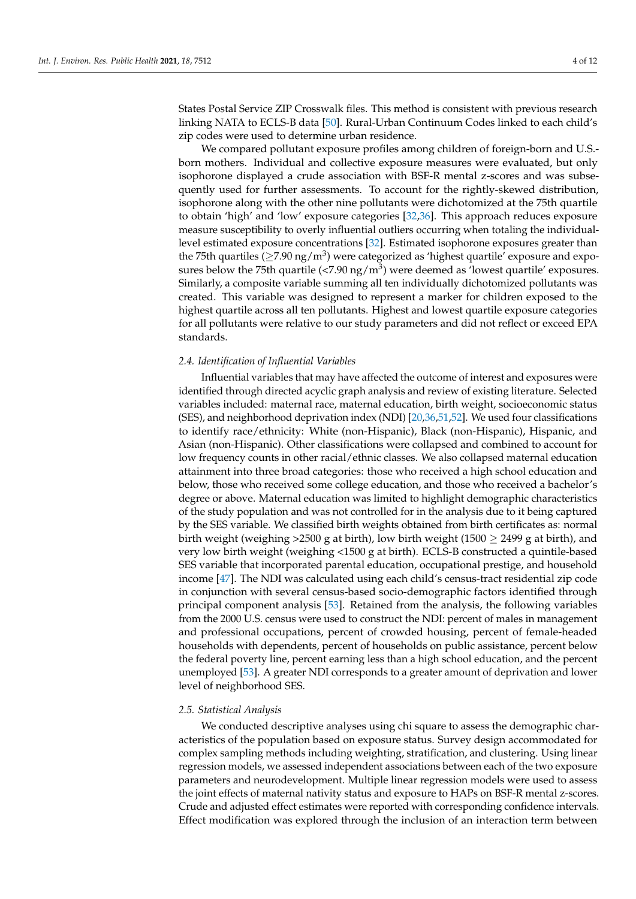States Postal Service ZIP Crosswalk files. This method is consistent with previous research linking NATA to ECLS-B data [\[50\]](#page-10-20). Rural-Urban Continuum Codes linked to each child's zip codes were used to determine urban residence.

We compared pollutant exposure profiles among children of foreign-born and U.S. born mothers. Individual and collective exposure measures were evaluated, but only isophorone displayed a crude association with BSF-R mental z-scores and was subsequently used for further assessments. To account for the rightly-skewed distribution, isophorone along with the other nine pollutants were dichotomized at the 75th quartile to obtain 'high' and 'low' exposure categories [\[32](#page-10-21)[,36\]](#page-10-4). This approach reduces exposure measure susceptibility to overly influential outliers occurring when totaling the individuallevel estimated exposure concentrations [\[32\]](#page-10-21). Estimated isophorone exposures greater than the 75th quartiles ( $\geq$ 7.90 ng/m<sup>3</sup>) were categorized as 'highest quartile' exposure and exposures below the 75th quartile (<7.90 ng/m $^3$ ) were deemed as 'lowest quartile' exposures. Similarly, a composite variable summing all ten individually dichotomized pollutants was created. This variable was designed to represent a marker for children exposed to the highest quartile across all ten pollutants. Highest and lowest quartile exposure categories for all pollutants were relative to our study parameters and did not reflect or exceed EPA standards.

#### *2.4. Identification of Influential Variables*

Influential variables that may have affected the outcome of interest and exposures were identified through directed acyclic graph analysis and review of existing literature. Selected variables included: maternal race, maternal education, birth weight, socioeconomic status (SES), and neighborhood deprivation index (NDI) [\[20](#page-9-17)[,36,](#page-10-4)[51,](#page-11-0)[52\]](#page-11-1). We used four classifications to identify race/ethnicity: White (non-Hispanic), Black (non-Hispanic), Hispanic, and Asian (non-Hispanic). Other classifications were collapsed and combined to account for low frequency counts in other racial/ethnic classes. We also collapsed maternal education attainment into three broad categories: those who received a high school education and below, those who received some college education, and those who received a bachelor's degree or above. Maternal education was limited to highlight demographic characteristics of the study population and was not controlled for in the analysis due to it being captured by the SES variable. We classified birth weights obtained from birth certificates as: normal birth weight (weighing >2500 g at birth), low birth weight (1500  $\geq$  2499 g at birth), and very low birth weight (weighing <1500 g at birth). ECLS-B constructed a quintile-based SES variable that incorporated parental education, occupational prestige, and household income [\[47\]](#page-10-17). The NDI was calculated using each child's census-tract residential zip code in conjunction with several census-based socio-demographic factors identified through principal component analysis [\[53\]](#page-11-2). Retained from the analysis, the following variables from the 2000 U.S. census were used to construct the NDI: percent of males in management and professional occupations, percent of crowded housing, percent of female-headed households with dependents, percent of households on public assistance, percent below the federal poverty line, percent earning less than a high school education, and the percent unemployed [\[53\]](#page-11-2). A greater NDI corresponds to a greater amount of deprivation and lower level of neighborhood SES.

#### *2.5. Statistical Analysis*

We conducted descriptive analyses using chi square to assess the demographic characteristics of the population based on exposure status. Survey design accommodated for complex sampling methods including weighting, stratification, and clustering. Using linear regression models, we assessed independent associations between each of the two exposure parameters and neurodevelopment. Multiple linear regression models were used to assess the joint effects of maternal nativity status and exposure to HAPs on BSF-R mental z-scores. Crude and adjusted effect estimates were reported with corresponding confidence intervals. Effect modification was explored through the inclusion of an interaction term between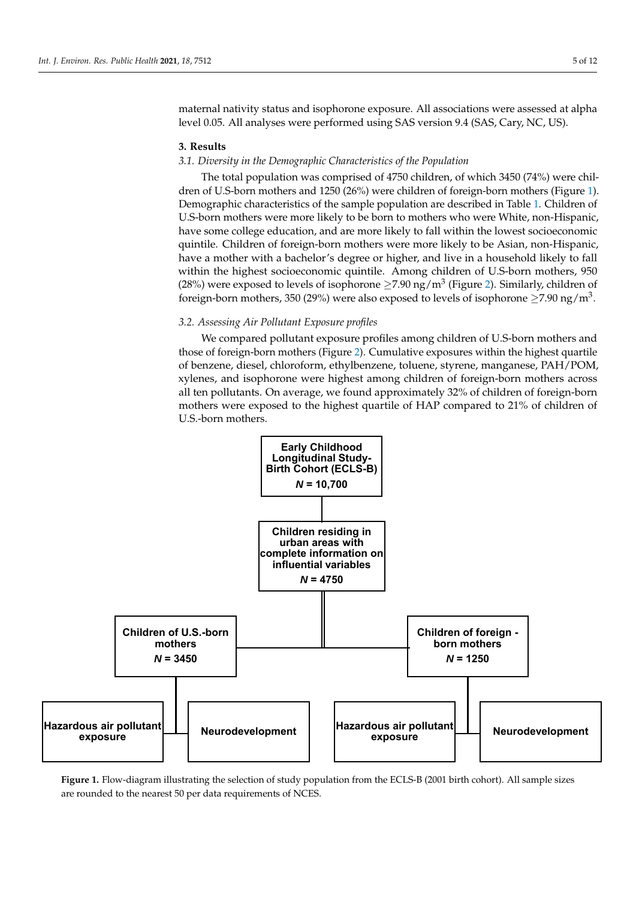maternal nativity status and isophorone exposure. All associations were assessed at alpha level 0.05. All analyses were performed using SAS version 9.4 (SAS, Cary, NC, US).

#### **3. Results**

#### *3.1. Diversity in the Demographic Characteristics of the Population*

The total population was comprised of 4750 children, of which 3450 (74%) were chil-dren of U.S-born mothers and 1250 (26%) were children of foreign-born mothers (Figure [1\)](#page-4-0). Demographic characteristics of the sample population are described in Table [1.](#page-5-0) Children of U.S-born mothers were more likely to be born to mothers who were White, non-Hispanic, have some college education, and are more likely to fall within the lowest socioeconomic quintile. Children of foreign-born mothers were more likely to be Asian, non-Hispanic, *3.1. Diversity in the Demographic Characteristics of the Population* have a mother with a bachelor's degree or higher, and live in a household likely to fall Find a mother with a bacheter b acgree of higher, and live in a household merry to fail within the highest socioeconomic quintile. Among children of U.S-born mothers, 950 (28%) were exposed to levels of isophorone  $\geq$ 7.90 ng/m<sup>3</sup> (Figure 2). Similarly, children of foreign-born mothers, 350 (29%) were also exposed to levels of isophorone  $\geq$ 7.90 ng/m<sup>3</sup>.

# 3.2. Assessing Air Pollutant Exposure profiles

We compared pollutant exposure profiles among children of U.S-born mothers and those of foreign-born mothers (Figure [2\)](#page-5-1). Cumulative exposures within the highest quartile of benzene, diesel, chloroform, ethylbenzene, toluene, styrene, manganese, PAH/POM,<br>to fall with the highest socioeconomic quintile. Among children of University and U.S. mothers, among children xylenes, and isophorone were highest among children of foreign-born mothers across all ten pollutants. On average, we found approximately 32% of children of foreign-born mothers were exposed to the highest quartile of HAP compared to  $21\%$  of children of U.S.-born mothers.

<span id="page-4-0"></span>

are rounded to the nearest 50 per data requirements of NCES. **Figure 1.** Flow-diagram illustrating the selection of study population from the ECLS-B (2001 birth cohort). All sample sizes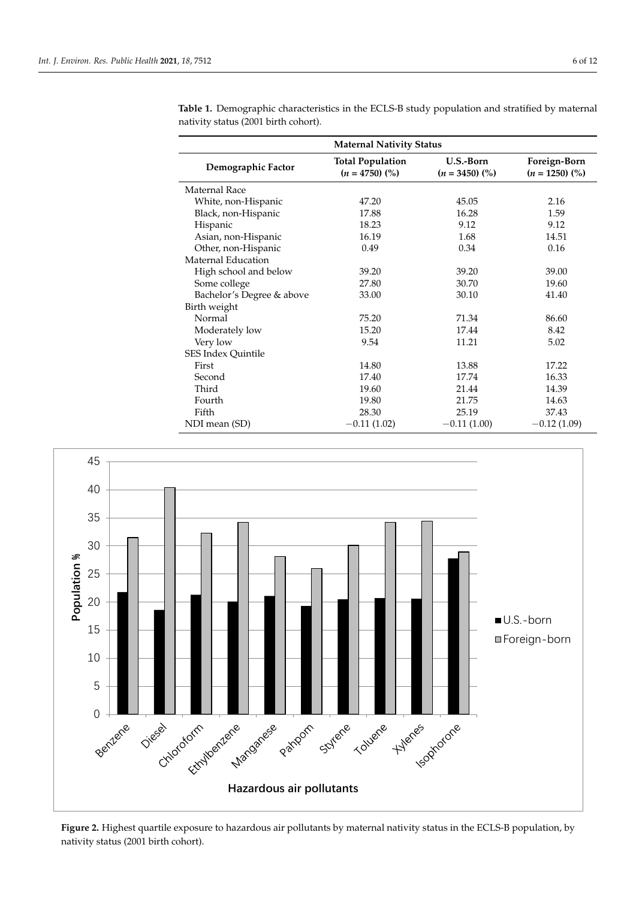| <b>Maternal Nativity Status</b> |                                             |                               |                                  |  |
|---------------------------------|---------------------------------------------|-------------------------------|----------------------------------|--|
| Demographic Factor              | <b>Total Population</b><br>$(n = 4750)$ (%) | U.S.-Born<br>$(n = 3450)$ (%) | Foreign-Born<br>$(n = 1250)$ (%) |  |
| Maternal Race                   |                                             |                               |                                  |  |
| White, non-Hispanic             | 47.20                                       | 45.05                         | 2.16                             |  |
| Black, non-Hispanic             | 17.88                                       | 16.28                         | 1.59                             |  |
| Hispanic                        | 18.23                                       | 9.12                          | 9.12                             |  |
| Asian, non-Hispanic             | 16.19                                       | 1.68                          | 14.51                            |  |
| Other, non-Hispanic             | 0.49                                        | 0.34                          | 0.16                             |  |
| Maternal Education              |                                             |                               |                                  |  |
| High school and below           | 39.20                                       | 39.20                         | 39.00                            |  |
| Some college                    | 27.80                                       | 30.70                         | 19.60                            |  |
| Bachelor's Degree & above       | 33.00                                       | 30.10                         | 41.40                            |  |
| Birth weight                    |                                             |                               |                                  |  |
| Normal                          | 75.20                                       | 71.34                         | 86.60                            |  |
| Moderately low                  | 15.20                                       | 17.44                         | 8.42                             |  |
| Very low                        | 9.54                                        | 11.21                         | 5.02                             |  |
| SES Index Quintile              |                                             |                               |                                  |  |
| First                           | 14.80                                       | 13.88                         | 17.22                            |  |
| Second                          | 17.40                                       | 17.74                         | 16.33                            |  |
| Third                           | 19.60                                       | 21.44                         | 14.39                            |  |
| Fourth                          | 19.80                                       | 21.75                         | 14.63                            |  |
| Fifth                           | 28.30                                       | 25.19                         | 37.43                            |  |
| NDI mean (SD)                   | $-0.11(1.02)$                               | $-0.11(1.00)$                 | $-0.12(1.09)$                    |  |

<span id="page-5-0"></span>**Table 1.** Demographic characteristics in the ECLS-B study population and stratified by maternal nativity status (2001 birth cohort).

<span id="page-5-1"></span>

Figure 2. Highest quartile exposure to hazardous air pollutants by maternal nativity status in the ECLS-B population, by nativity status (2001 birth cohort). nativity status (2001 birth cohort).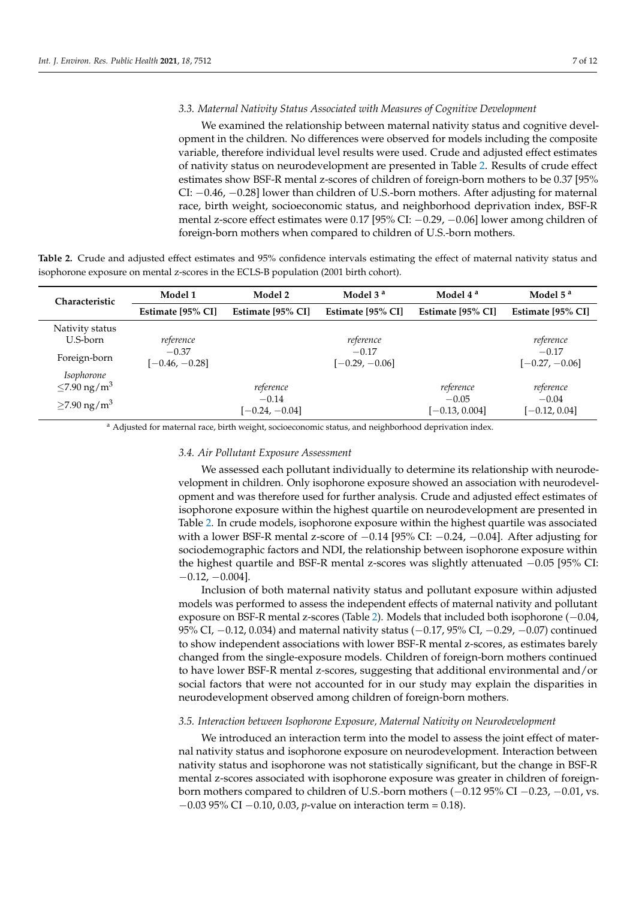### *3.3. Maternal Nativity Status Associated with Measures of Cognitive Development*

We examined the relationship between maternal nativity status and cognitive development in the children. No differences were observed for models including the composite variable, therefore individual level results were used. Crude and adjusted effect estimates of nativity status on neurodevelopment are presented in Table [2.](#page-6-0) Results of crude effect estimates show BSF-R mental z-scores of children of foreign-born mothers to be 0.37 [95% CI: −0.46, −0.28] lower than children of U.S.-born mothers. After adjusting for maternal race, birth weight, socioeconomic status, and neighborhood deprivation index, BSF-R mental z-score effect estimates were 0.17 [95% CI: −0.29, −0.06] lower among children of foreign-born mothers when compared to children of U.S.-born mothers.

<span id="page-6-0"></span>**Table 2.** Crude and adjusted effect estimates and 95% confidence intervals estimating the effect of maternal nativity status and isophorone exposure on mental z-scores in the ECLS-B population (2001 birth cohort).

| Characteristic                              | Model 1                     | Model 2                     | Model 3 <sup>a</sup>        | Model 4 <sup>a</sup>        | Model $5a$<br>Estimate [95% CI] |  |
|---------------------------------------------|-----------------------------|-----------------------------|-----------------------------|-----------------------------|---------------------------------|--|
|                                             | Estimate [95% CI]           | Estimate [95% CI]           | Estimate [95% CI]           | Estimate [95% CI]           |                                 |  |
| Nativity status<br>U.S-born                 | reference                   |                             | reference                   |                             | reference                       |  |
| Foreign-born                                | $-0.37$<br>$[-0.46, -0.28]$ |                             | $-0.17$<br>$[-0.29, -0.06]$ |                             | $-0.17$<br>$[-0.27, -0.06]$     |  |
| Isophorone<br>$\leq$ 7.90 ng/m <sup>3</sup> |                             | reference                   |                             | reference                   | reference                       |  |
| $\geq$ 7.90 ng/m <sup>3</sup>               |                             | $-0.14$<br>$[-0.24, -0.04]$ |                             | $-0.05$<br>$[-0.13, 0.004]$ | $-0.04$<br>$[-0.12, 0.04]$      |  |

<sup>a</sup> Adjusted for maternal race, birth weight, socioeconomic status, and neighborhood deprivation index.

# *3.4. Air Pollutant Exposure Assessment*

We assessed each pollutant individually to determine its relationship with neurodevelopment in children. Only isophorone exposure showed an association with neurodevelopment and was therefore used for further analysis. Crude and adjusted effect estimates of isophorone exposure within the highest quartile on neurodevelopment are presented in Table [2.](#page-6-0) In crude models, isophorone exposure within the highest quartile was associated with a lower BSF-R mental z-score of  $-0.14$  [95% CI:  $-0.24$ ,  $-0.04$ ]. After adjusting for sociodemographic factors and NDI, the relationship between isophorone exposure within the highest quartile and BSF-R mental z-scores was slightly attenuated −0.05 [95% CI:  $-0.12, -0.004$ ].

Inclusion of both maternal nativity status and pollutant exposure within adjusted models was performed to assess the independent effects of maternal nativity and pollutant exposure on BSF-R mental z-scores (Table [2\)](#page-6-0). Models that included both isophorone (−0.04, 95% CI, −0.12, 0.034) and maternal nativity status (−0.17, 95% CI, −0.29, −0.07) continued to show independent associations with lower BSF-R mental z-scores, as estimates barely changed from the single-exposure models. Children of foreign-born mothers continued to have lower BSF-R mental z-scores, suggesting that additional environmental and/or social factors that were not accounted for in our study may explain the disparities in neurodevelopment observed among children of foreign-born mothers.

# *3.5. Interaction between Isophorone Exposure, Maternal Nativity on Neurodevelopment*

We introduced an interaction term into the model to assess the joint effect of maternal nativity status and isophorone exposure on neurodevelopment. Interaction between nativity status and isophorone was not statistically significant, but the change in BSF-R mental z-scores associated with isophorone exposure was greater in children of foreignborn mothers compared to children of U.S.-born mothers (−0.12 95% CI −0.23, −0.01, vs. −0.03 95% CI −0.10, 0.03, *p*-value on interaction term = 0.18).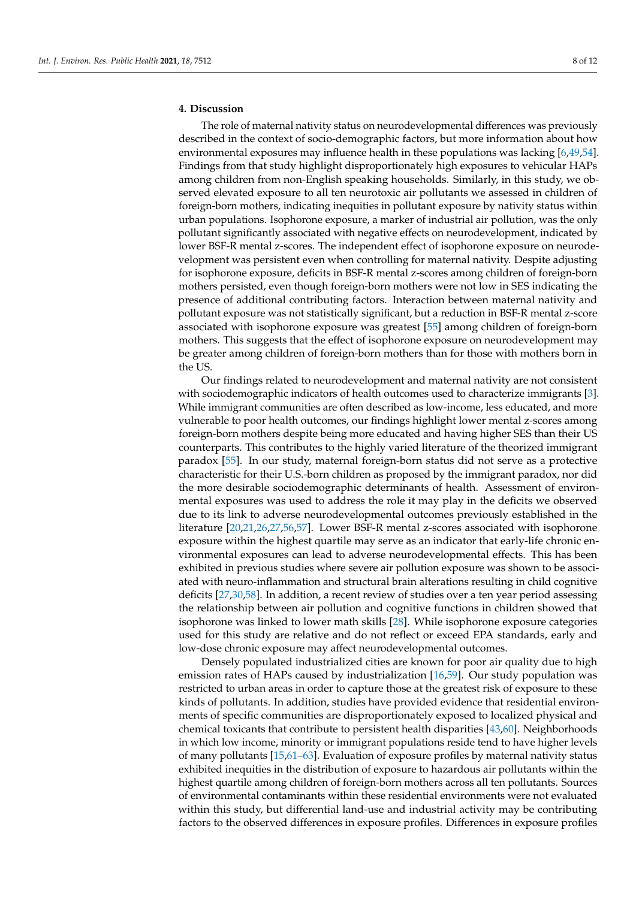# **4. Discussion**

The role of maternal nativity status on neurodevelopmental differences was previously described in the context of socio-demographic factors, but more information about how environmental exposures may influence health in these populations was lacking [\[6](#page-9-2)[,49](#page-10-19)[,54\]](#page-11-3). Findings from that study highlight disproportionately high exposures to vehicular HAPs among children from non-English speaking households. Similarly, in this study, we observed elevated exposure to all ten neurotoxic air pollutants we assessed in children of foreign-born mothers, indicating inequities in pollutant exposure by nativity status within urban populations. Isophorone exposure, a marker of industrial air pollution, was the only pollutant significantly associated with negative effects on neurodevelopment, indicated by lower BSF-R mental z-scores. The independent effect of isophorone exposure on neurodevelopment was persistent even when controlling for maternal nativity. Despite adjusting for isophorone exposure, deficits in BSF-R mental z-scores among children of foreign-born mothers persisted, even though foreign-born mothers were not low in SES indicating the presence of additional contributing factors. Interaction between maternal nativity and pollutant exposure was not statistically significant, but a reduction in BSF-R mental z-score associated with isophorone exposure was greatest [\[55\]](#page-11-4) among children of foreign-born mothers. This suggests that the effect of isophorone exposure on neurodevelopment may be greater among children of foreign-born mothers than for those with mothers born in the US.

Our findings related to neurodevelopment and maternal nativity are not consistent with sociodemographic indicators of health outcomes used to characterize immigrants [\[3\]](#page-9-1). While immigrant communities are often described as low-income, less educated, and more vulnerable to poor health outcomes, our findings highlight lower mental z-scores among foreign-born mothers despite being more educated and having higher SES than their US counterparts. This contributes to the highly varied literature of the theorized immigrant paradox [\[55\]](#page-11-4). In our study, maternal foreign-born status did not serve as a protective characteristic for their U.S.-born children as proposed by the immigrant paradox, nor did the more desirable sociodemographic determinants of health. Assessment of environmental exposures was used to address the role it may play in the deficits we observed due to its link to adverse neurodevelopmental outcomes previously established in the literature [\[20,](#page-9-17)[21,](#page-9-18)[26,](#page-9-15)[27,](#page-10-22)[56,](#page-11-5)[57\]](#page-11-6). Lower BSF-R mental z-scores associated with isophorone exposure within the highest quartile may serve as an indicator that early-life chronic environmental exposures can lead to adverse neurodevelopmental effects. This has been exhibited in previous studies where severe air pollution exposure was shown to be associated with neuro-inflammation and structural brain alterations resulting in child cognitive deficits [\[27](#page-10-22)[,30](#page-10-23)[,58\]](#page-11-7). In addition, a recent review of studies over a ten year period assessing the relationship between air pollution and cognitive functions in children showed that isophorone was linked to lower math skills [\[28\]](#page-10-8). While isophorone exposure categories used for this study are relative and do not reflect or exceed EPA standards, early and low-dose chronic exposure may affect neurodevelopmental outcomes.

Densely populated industrialized cities are known for poor air quality due to high emission rates of HAPs caused by industrialization [\[16](#page-9-11)[,59\]](#page-11-8). Our study population was restricted to urban areas in order to capture those at the greatest risk of exposure to these kinds of pollutants. In addition, studies have provided evidence that residential environments of specific communities are disproportionately exposed to localized physical and chemical toxicants that contribute to persistent health disparities [\[43](#page-10-13)[,60\]](#page-11-9). Neighborhoods in which low income, minority or immigrant populations reside tend to have higher levels of many pollutants [\[15,](#page-9-19)[61–](#page-11-10)[63\]](#page-11-11). Evaluation of exposure profiles by maternal nativity status exhibited inequities in the distribution of exposure to hazardous air pollutants within the highest quartile among children of foreign-born mothers across all ten pollutants. Sources of environmental contaminants within these residential environments were not evaluated within this study, but differential land-use and industrial activity may be contributing factors to the observed differences in exposure profiles. Differences in exposure profiles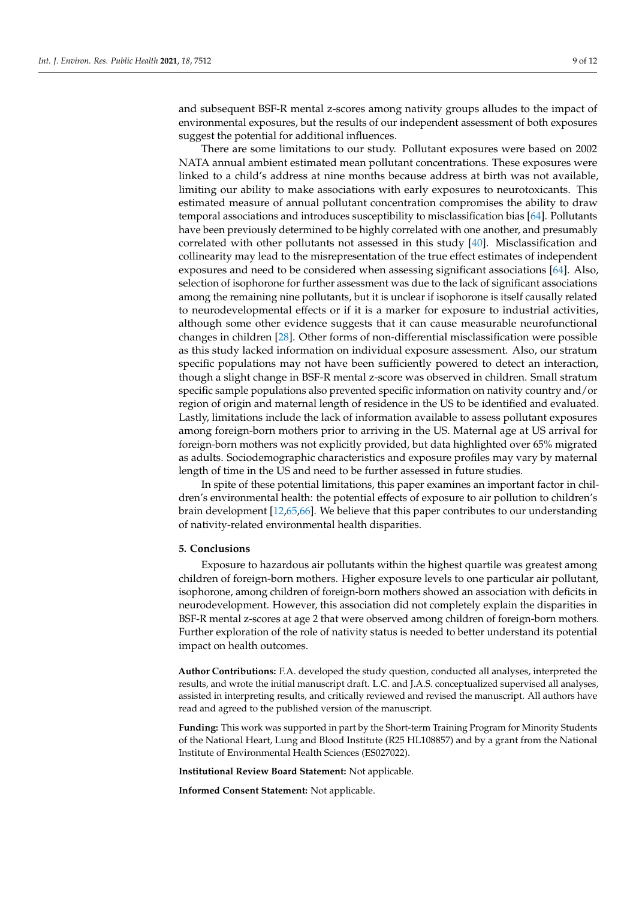and subsequent BSF-R mental z-scores among nativity groups alludes to the impact of environmental exposures, but the results of our independent assessment of both exposures suggest the potential for additional influences.

There are some limitations to our study. Pollutant exposures were based on 2002 NATA annual ambient estimated mean pollutant concentrations. These exposures were linked to a child's address at nine months because address at birth was not available, limiting our ability to make associations with early exposures to neurotoxicants. This estimated measure of annual pollutant concentration compromises the ability to draw temporal associations and introduces susceptibility to misclassification bias [\[64\]](#page-11-12). Pollutants have been previously determined to be highly correlated with one another, and presumably correlated with other pollutants not assessed in this study [\[40\]](#page-10-10). Misclassification and collinearity may lead to the misrepresentation of the true effect estimates of independent exposures and need to be considered when assessing significant associations [\[64\]](#page-11-12). Also, selection of isophorone for further assessment was due to the lack of significant associations among the remaining nine pollutants, but it is unclear if isophorone is itself causally related to neurodevelopmental effects or if it is a marker for exposure to industrial activities, although some other evidence suggests that it can cause measurable neurofunctional changes in children [\[28\]](#page-10-8). Other forms of non-differential misclassification were possible as this study lacked information on individual exposure assessment. Also, our stratum specific populations may not have been sufficiently powered to detect an interaction, though a slight change in BSF-R mental z-score was observed in children. Small stratum specific sample populations also prevented specific information on nativity country and/or region of origin and maternal length of residence in the US to be identified and evaluated. Lastly, limitations include the lack of information available to assess pollutant exposures among foreign-born mothers prior to arriving in the US. Maternal age at US arrival for foreign-born mothers was not explicitly provided, but data highlighted over 65% migrated as adults. Sociodemographic characteristics and exposure profiles may vary by maternal length of time in the US and need to be further assessed in future studies.

In spite of these potential limitations, this paper examines an important factor in children's environmental health: the potential effects of exposure to air pollution to children's brain development [\[12](#page-9-9)[,65,](#page-11-13)[66\]](#page-11-14). We believe that this paper contributes to our understanding of nativity-related environmental health disparities.

#### **5. Conclusions**

Exposure to hazardous air pollutants within the highest quartile was greatest among children of foreign-born mothers. Higher exposure levels to one particular air pollutant, isophorone, among children of foreign-born mothers showed an association with deficits in neurodevelopment. However, this association did not completely explain the disparities in BSF-R mental z-scores at age 2 that were observed among children of foreign-born mothers. Further exploration of the role of nativity status is needed to better understand its potential impact on health outcomes.

**Author Contributions:** F.A. developed the study question, conducted all analyses, interpreted the results, and wrote the initial manuscript draft. L.C. and J.A.S. conceptualized supervised all analyses, assisted in interpreting results, and critically reviewed and revised the manuscript. All authors have read and agreed to the published version of the manuscript.

**Funding:** This work was supported in part by the Short-term Training Program for Minority Students of the National Heart, Lung and Blood Institute (R25 HL108857) and by a grant from the National Institute of Environmental Health Sciences (ES027022).

**Institutional Review Board Statement:** Not applicable.

**Informed Consent Statement:** Not applicable.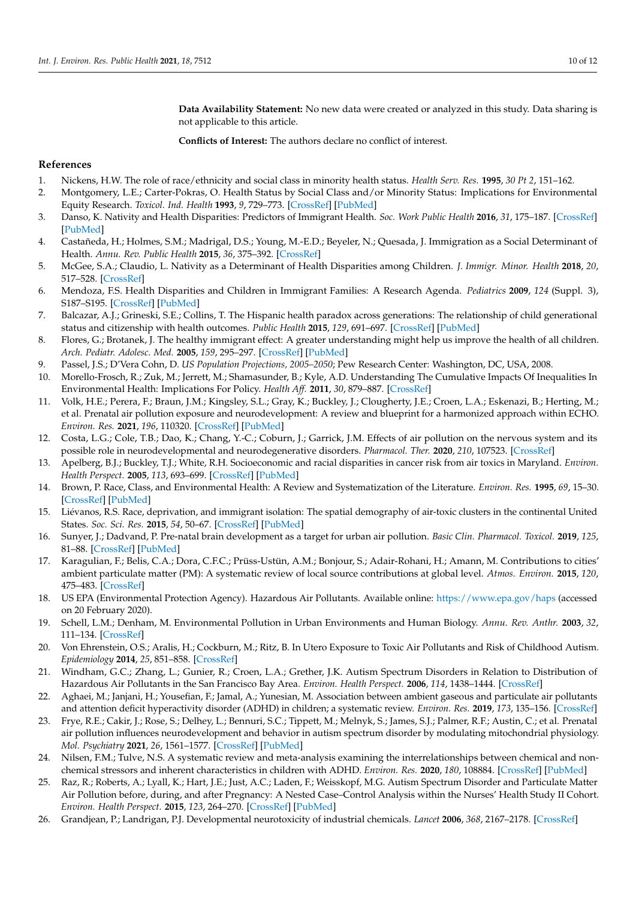**Data Availability Statement:** No new data were created or analyzed in this study. Data sharing is not applicable to this article.

**Conflicts of Interest:** The authors declare no conflict of interest.

# **References**

- <span id="page-9-0"></span>1. Nickens, H.W. The role of race/ethnicity and social class in minority health status. *Health Serv. Res.* **1995**, *30 Pt 2*, 151–162.
- <span id="page-9-6"></span>2. Montgomery, L.E.; Carter-Pokras, O. Health Status by Social Class and/or Minority Status: Implications for Environmental Equity Research. *Toxicol. Ind. Health* **1993**, *9*, 729–773. [\[CrossRef\]](http://doi.org/10.1177/074823379300900505) [\[PubMed\]](http://www.ncbi.nlm.nih.gov/pubmed/8184442)
- <span id="page-9-1"></span>3. Danso, K. Nativity and Health Disparities: Predictors of Immigrant Health. *Soc. Work Public Health* **2016**, *31*, 175–187. [\[CrossRef\]](http://doi.org/10.1080/19371918.2015.1099494) [\[PubMed\]](http://www.ncbi.nlm.nih.gov/pubmed/26963922)
- 4. Castañeda, H.; Holmes, S.M.; Madrigal, D.S.; Young, M.-E.D.; Beyeler, N.; Quesada, J. Immigration as a Social Determinant of Health. *Annu. Rev. Public Health* **2015**, *36*, 375–392. [\[CrossRef\]](http://doi.org/10.1146/annurev-publhealth-032013-182419)
- 5. McGee, S.A.; Claudio, L. Nativity as a Determinant of Health Disparities among Children. *J. Immigr. Minor. Health* **2018**, *20*, 517–528. [\[CrossRef\]](http://doi.org/10.1007/s10903-017-0667-4)
- <span id="page-9-2"></span>6. Mendoza, F.S. Health Disparities and Children in Immigrant Families: A Research Agenda. *Pediatrics* **2009**, *124* (Suppl. 3), S187–S195. [\[CrossRef\]](http://doi.org/10.1542/peds.2009-1100F) [\[PubMed\]](http://www.ncbi.nlm.nih.gov/pubmed/19861469)
- <span id="page-9-3"></span>7. Balcazar, A.J.; Grineski, S.E.; Collins, T. The Hispanic health paradox across generations: The relationship of child generational status and citizenship with health outcomes. *Public Health* **2015**, *129*, 691–697. [\[CrossRef\]](http://doi.org/10.1016/j.puhe.2015.04.007) [\[PubMed\]](http://www.ncbi.nlm.nih.gov/pubmed/26002345)
- <span id="page-9-4"></span>8. Flores, G.; Brotanek, J. The healthy immigrant effect: A greater understanding might help us improve the health of all children. *Arch. Pediatr. Adolesc. Med.* **2005**, *159*, 295–297. [\[CrossRef\]](http://doi.org/10.1001/archpedi.159.3.295) [\[PubMed\]](http://www.ncbi.nlm.nih.gov/pubmed/15753277)
- <span id="page-9-5"></span>9. Passel, J.S.; D'Vera Cohn, D. *US Population Projections, 2005–2050*; Pew Research Center: Washington, DC, USA, 2008.
- <span id="page-9-7"></span>10. Morello-Frosch, R.; Zuk, M.; Jerrett, M.; Shamasunder, B.; Kyle, A.D. Understanding The Cumulative Impacts Of Inequalities In Environmental Health: Implications For Policy. *Health Aff.* **2011**, *30*, 879–887. [\[CrossRef\]](http://doi.org/10.1377/hlthaff.2011.0153)
- <span id="page-9-8"></span>11. Volk, H.E.; Perera, F.; Braun, J.M.; Kingsley, S.L.; Gray, K.; Buckley, J.; Clougherty, J.E.; Croen, L.A.; Eskenazi, B.; Herting, M.; et al. Prenatal air pollution exposure and neurodevelopment: A review and blueprint for a harmonized approach within ECHO. *Environ. Res.* **2021**, *196*, 110320. [\[CrossRef\]](http://doi.org/10.1016/j.envres.2020.110320) [\[PubMed\]](http://www.ncbi.nlm.nih.gov/pubmed/33098817)
- <span id="page-9-9"></span>12. Costa, L.G.; Cole, T.B.; Dao, K.; Chang, Y.-C.; Coburn, J.; Garrick, J.M. Effects of air pollution on the nervous system and its possible role in neurodevelopmental and neurodegenerative disorders. *Pharmacol. Ther.* **2020**, *210*, 107523. [\[CrossRef\]](http://doi.org/10.1016/j.pharmthera.2020.107523)
- <span id="page-9-10"></span>13. Apelberg, B.J.; Buckley, T.J.; White, R.H. Socioeconomic and racial disparities in cancer risk from air toxics in Maryland. *Environ. Health Perspect.* **2005**, *113*, 693–699. [\[CrossRef\]](http://doi.org/10.1289/ehp.7609) [\[PubMed\]](http://www.ncbi.nlm.nih.gov/pubmed/15929891)
- 14. Brown, P. Race, Class, and Environmental Health: A Review and Systematization of the Literature. *Environ. Res.* **1995**, *69*, 15–30. [\[CrossRef\]](http://doi.org/10.1006/enrs.1995.1021) [\[PubMed\]](http://www.ncbi.nlm.nih.gov/pubmed/7588491)
- <span id="page-9-19"></span>15. Liévanos, R.S. Race, deprivation, and immigrant isolation: The spatial demography of air-toxic clusters in the continental United States. *Soc. Sci. Res.* **2015**, *54*, 50–67. [\[CrossRef\]](http://doi.org/10.1016/j.ssresearch.2015.06.014) [\[PubMed\]](http://www.ncbi.nlm.nih.gov/pubmed/26463534)
- <span id="page-9-11"></span>16. Sunyer, J.; Dadvand, P. Pre-natal brain development as a target for urban air pollution. *Basic Clin. Pharmacol. Toxicol.* **2019**, *125*, 81–88. [\[CrossRef\]](http://doi.org/10.1111/bcpt.13226) [\[PubMed\]](http://www.ncbi.nlm.nih.gov/pubmed/30884144)
- <span id="page-9-12"></span>17. Karagulian, F.; Belis, C.A.; Dora, C.F.C.; Prüss-Ustün, A.M.; Bonjour, S.; Adair-Rohani, H.; Amann, M. Contributions to cities' ambient particulate matter (PM): A systematic review of local source contributions at global level. *Atmos. Environ.* **2015**, *120*, 475–483. [\[CrossRef\]](http://doi.org/10.1016/j.atmosenv.2015.08.087)
- <span id="page-9-13"></span>18. US EPA (Environmental Protection Agency). Hazardous Air Pollutants. Available online: <https://www.epa.gov/haps> (accessed on 20 February 2020).
- <span id="page-9-16"></span>19. Schell, L.M.; Denham, M. Environmental Pollution in Urban Environments and Human Biology. *Annu. Rev. Anthr.* **2003**, *32*, 111–134. [\[CrossRef\]](http://doi.org/10.1146/annurev.anthro.32.061002.093218)
- <span id="page-9-17"></span>20. Von Ehrenstein, O.S.; Aralis, H.; Cockburn, M.; Ritz, B. In Utero Exposure to Toxic Air Pollutants and Risk of Childhood Autism. *Epidemiology* **2014**, *25*, 851–858. [\[CrossRef\]](http://doi.org/10.1097/EDE.0000000000000150)
- <span id="page-9-18"></span>21. Windham, G.C.; Zhang, L.; Gunier, R.; Croen, L.A.; Grether, J.K. Autism Spectrum Disorders in Relation to Distribution of Hazardous Air Pollutants in the San Francisco Bay Area. *Environ. Health Perspect.* **2006**, *114*, 1438–1444. [\[CrossRef\]](http://doi.org/10.1289/ehp.9120)
- 22. Aghaei, M.; Janjani, H.; Yousefian, F.; Jamal, A.; Yunesian, M. Association between ambient gaseous and particulate air pollutants and attention deficit hyperactivity disorder (ADHD) in children; a systematic review. *Environ. Res.* **2019**, *173*, 135–156. [\[CrossRef\]](http://doi.org/10.1016/j.envres.2019.03.030)
- 23. Frye, R.E.; Cakir, J.; Rose, S.; Delhey, L.; Bennuri, S.C.; Tippett, M.; Melnyk, S.; James, S.J.; Palmer, R.F.; Austin, C.; et al. Prenatal air pollution influences neurodevelopment and behavior in autism spectrum disorder by modulating mitochondrial physiology. *Mol. Psychiatry* **2021**, *26*, 1561–1577. [\[CrossRef\]](http://doi.org/10.1038/s41380-020-00885-2) [\[PubMed\]](http://www.ncbi.nlm.nih.gov/pubmed/32963337)
- 24. Nilsen, F.M.; Tulve, N.S. A systematic review and meta-analysis examining the interrelationships between chemical and nonchemical stressors and inherent characteristics in children with ADHD. *Environ. Res.* **2020**, *180*, 108884. [\[CrossRef\]](http://doi.org/10.1016/j.envres.2019.108884) [\[PubMed\]](http://www.ncbi.nlm.nih.gov/pubmed/31706600)
- <span id="page-9-14"></span>25. Raz, R.; Roberts, A.; Lyall, K.; Hart, J.E.; Just, A.C.; Laden, F.; Weisskopf, M.G. Autism Spectrum Disorder and Particulate Matter Air Pollution before, during, and after Pregnancy: A Nested Case–Control Analysis within the Nurses' Health Study II Cohort. *Environ. Health Perspect.* **2015**, *123*, 264–270. [\[CrossRef\]](http://doi.org/10.1289/ehp.1408133) [\[PubMed\]](http://www.ncbi.nlm.nih.gov/pubmed/25522338)
- <span id="page-9-15"></span>26. Grandjean, P.; Landrigan, P.J. Developmental neurotoxicity of industrial chemicals. *Lancet* **2006**, *368*, 2167–2178. [\[CrossRef\]](http://doi.org/10.1016/S0140-6736(06)69665-7)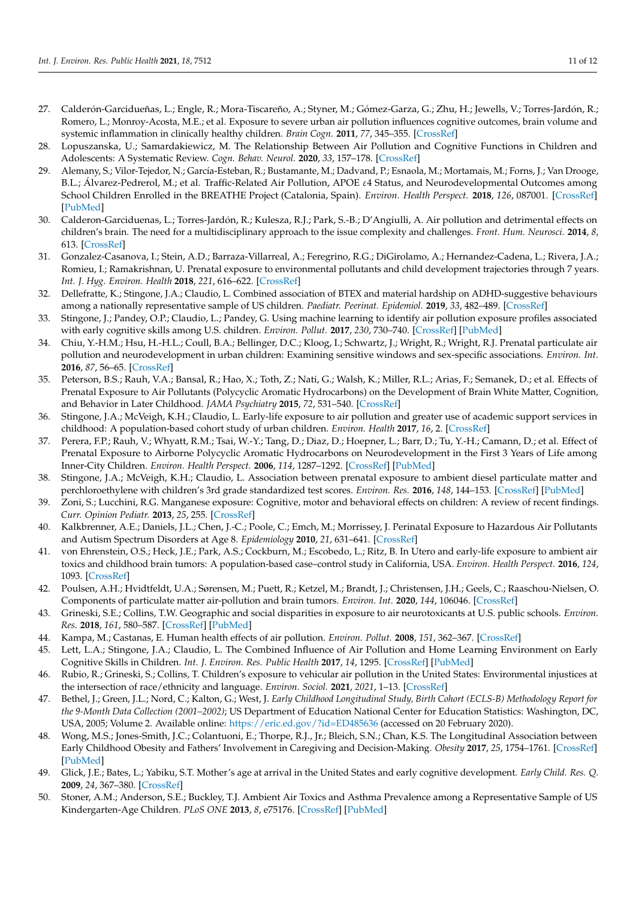- <span id="page-10-22"></span>27. Calderón-Garcidueñas, L.; Engle, R.; Mora-Tiscareño, A.; Styner, M.; Gómez-Garza, G.; Zhu, H.; Jewells, V.; Torres-Jardón, R.; Romero, L.; Monroy-Acosta, M.E.; et al. Exposure to severe urban air pollution influences cognitive outcomes, brain volume and systemic inflammation in clinically healthy children. *Brain Cogn.* **2011**, *77*, 345–355. [\[CrossRef\]](http://doi.org/10.1016/j.bandc.2011.09.006)
- <span id="page-10-8"></span>28. Lopuszanska, U.; Samardakiewicz, M. The Relationship Between Air Pollution and Cognitive Functions in Children and Adolescents: A Systematic Review. *Cogn. Behav. Neurol.* **2020**, *33*, 157–178. [\[CrossRef\]](http://doi.org/10.1097/WNN.0000000000000235)
- <span id="page-10-5"></span>29. Alemany, S.; Vilor-Tejedor, N.; García-Esteban, R.; Bustamante, M.; Dadvand, P.; Esnaola, M.; Mortamais, M.; Forns, J.; Van Drooge, B.L.; Álvarez-Pedrerol, M.; et al. Traffic-Related Air Pollution, APOE ε4 Status, and Neurodevelopmental Outcomes among School Children Enrolled in the BREATHE Project (Catalonia, Spain). *Environ. Health Perspect.* **2018**, *126*, 087001. [\[CrossRef\]](http://doi.org/10.1289/EHP2246) [\[PubMed\]](http://www.ncbi.nlm.nih.gov/pubmed/30073950)
- <span id="page-10-23"></span>30. Calderon-Garciduenas, L.; Torres-Jardón, R.; Kulesza, R.J.; Park, S.-B.; D'Angiulli, A. Air pollution and detrimental effects on children's brain. The need for a multidisciplinary approach to the issue complexity and challenges. *Front. Hum. Neurosci.* **2014**, *8*, 613. [\[CrossRef\]](http://doi.org/10.3389/fnhum.2014.00613)
- <span id="page-10-1"></span>31. Gonzalez-Casanova, I.; Stein, A.D.; Barraza-Villarreal, A.; Feregrino, R.G.; DiGirolamo, A.; Hernandez-Cadena, L.; Rivera, J.A.; Romieu, I.; Ramakrishnan, U. Prenatal exposure to environmental pollutants and child development trajectories through 7 years. *Int. J. Hyg. Environ. Health* **2018**, *221*, 616–622. [\[CrossRef\]](http://doi.org/10.1016/j.ijheh.2018.04.004)
- <span id="page-10-21"></span>32. Dellefratte, K.; Stingone, J.A.; Claudio, L. Combined association of BTEX and material hardship on ADHD-suggestive behaviours among a nationally representative sample of US children. *Paediatr. Peerinat. Epidemiol.* **2019**, *33*, 482–489. [\[CrossRef\]](http://doi.org/10.1111/ppe.12594)
- <span id="page-10-0"></span>33. Stingone, J.; Pandey, O.P.; Claudio, L.; Pandey, G. Using machine learning to identify air pollution exposure profiles associated with early cognitive skills among U.S. children. *Environ. Pollut.* **2017**, *230*, 730–740. [\[CrossRef\]](http://doi.org/10.1016/j.envpol.2017.07.023) [\[PubMed\]](http://www.ncbi.nlm.nih.gov/pubmed/28732336)
- <span id="page-10-2"></span>34. Chiu, Y.-H.M.; Hsu, H.-H.L.; Coull, B.A.; Bellinger, D.C.; Kloog, I.; Schwartz, J.; Wright, R.; Wright, R.J. Prenatal particulate air pollution and neurodevelopment in urban children: Examining sensitive windows and sex-specific associations. *Environ. Int.* **2016**, *87*, 56–65. [\[CrossRef\]](http://doi.org/10.1016/j.envint.2015.11.010)
- <span id="page-10-3"></span>35. Peterson, B.S.; Rauh, V.A.; Bansal, R.; Hao, X.; Toth, Z.; Nati, G.; Walsh, K.; Miller, R.L.; Arias, F.; Semanek, D.; et al. Effects of Prenatal Exposure to Air Pollutants (Polycyclic Aromatic Hydrocarbons) on the Development of Brain White Matter, Cognition, and Behavior in Later Childhood. *JAMA Psychiatry* **2015**, *72*, 531–540. [\[CrossRef\]](http://doi.org/10.1001/jamapsychiatry.2015.57)
- <span id="page-10-4"></span>36. Stingone, J.A.; McVeigh, K.H.; Claudio, L. Early-life exposure to air pollution and greater use of academic support services in childhood: A population-based cohort study of urban children. *Environ. Health* **2017**, *16*, 2. [\[CrossRef\]](http://doi.org/10.1186/s12940-017-0210-z)
- <span id="page-10-6"></span>37. Perera, F.P.; Rauh, V.; Whyatt, R.M.; Tsai, W.-Y.; Tang, D.; Diaz, D.; Hoepner, L.; Barr, D.; Tu, Y.-H.; Camann, D.; et al. Effect of Prenatal Exposure to Airborne Polycyclic Aromatic Hydrocarbons on Neurodevelopment in the First 3 Years of Life among Inner-City Children. *Environ. Health Perspect.* **2006**, *114*, 1287–1292. [\[CrossRef\]](http://doi.org/10.1289/ehp.9084) [\[PubMed\]](http://www.ncbi.nlm.nih.gov/pubmed/16882541)
- <span id="page-10-7"></span>38. Stingone, J.A.; McVeigh, K.H.; Claudio, L. Association between prenatal exposure to ambient diesel particulate matter and perchloroethylene with children's 3rd grade standardized test scores. *Environ. Res.* **2016**, *148*, 144–153. [\[CrossRef\]](http://doi.org/10.1016/j.envres.2016.03.035) [\[PubMed\]](http://www.ncbi.nlm.nih.gov/pubmed/27058443)
- <span id="page-10-9"></span>39. Zoni, S.; Lucchini, R.G. Manganese exposure: Cognitive, motor and behavioral effects on children: A review of recent findings. *Curr. Opinion Pediatr.* **2013**, *25*, 255. [\[CrossRef\]](http://doi.org/10.1097/MOP.0b013e32835e906b)
- <span id="page-10-10"></span>40. Kalkbrenner, A.E.; Daniels, J.L.; Chen, J.-C.; Poole, C.; Emch, M.; Morrissey, J. Perinatal Exposure to Hazardous Air Pollutants and Autism Spectrum Disorders at Age 8. *Epidemiology* **2010**, *21*, 631–641. [\[CrossRef\]](http://doi.org/10.1097/EDE.0b013e3181e65d76)
- <span id="page-10-11"></span>41. von Ehrenstein, O.S.; Heck, J.E.; Park, A.S.; Cockburn, M.; Escobedo, L.; Ritz, B. In Utero and early-life exposure to ambient air toxics and childhood brain tumors: A population-based case–control study in California, USA. *Environ. Health Perspect.* **2016**, *124*, 1093. [\[CrossRef\]](http://doi.org/10.1289/ehp.1408582)
- <span id="page-10-12"></span>42. Poulsen, A.H.; Hvidtfeldt, U.A.; Sørensen, M.; Puett, R.; Ketzel, M.; Brandt, J.; Christensen, J.H.; Geels, C.; Raaschou-Nielsen, O. Components of particulate matter air-pollution and brain tumors. *Environ. Int.* **2020**, *144*, 106046. [\[CrossRef\]](http://doi.org/10.1016/j.envint.2020.106046)
- <span id="page-10-13"></span>43. Grineski, S.E.; Collins, T.W. Geographic and social disparities in exposure to air neurotoxicants at U.S. public schools. *Environ. Res.* **2018**, *161*, 580–587. [\[CrossRef\]](http://doi.org/10.1016/j.envres.2017.11.047) [\[PubMed\]](http://www.ncbi.nlm.nih.gov/pubmed/29245126)
- <span id="page-10-14"></span>44. Kampa, M.; Castanas, E. Human health effects of air pollution. *Environ. Pollut.* **2008**, *151*, 362–367. [\[CrossRef\]](http://doi.org/10.1016/j.envpol.2007.06.012)
- <span id="page-10-15"></span>45. Lett, L.A.; Stingone, J.A.; Claudio, L. The Combined Influence of Air Pollution and Home Learning Environment on Early Cognitive Skills in Children. *Int. J. Environ. Res. Public Health* **2017**, *14*, 1295. [\[CrossRef\]](http://doi.org/10.3390/ijerph14111295) [\[PubMed\]](http://www.ncbi.nlm.nih.gov/pubmed/29072589)
- <span id="page-10-16"></span>46. Rubio, R.; Grineski, S.; Collins, T. Children's exposure to vehicular air pollution in the United States: Environmental injustices at the intersection of race/ethnicity and language. *Environ. Sociol.* **2021**, *2021*, 1–13. [\[CrossRef\]](http://doi.org/10.1080/23251042.2021.1878574)
- <span id="page-10-17"></span>47. Bethel, J.; Green, J.L.; Nord, C.; Kalton, G.; West, J. *Early Childhood Longitudinal Study, Birth Cohort (ECLS-B) Methodology Report for the 9-Month Data Collection (2001–2002)*; US Department of Education National Center for Education Statistics: Washington, DC, USA, 2005; Volume 2. Available online: <https://eric.ed.gov/?id=ED485636> (accessed on 20 February 2020).
- <span id="page-10-18"></span>48. Wong, M.S.; Jones-Smith, J.C.; Colantuoni, E.; Thorpe, R.J., Jr.; Bleich, S.N.; Chan, K.S. The Longitudinal Association between Early Childhood Obesity and Fathers' Involvement in Caregiving and Decision-Making. *Obesity* **2017**, *25*, 1754–1761. [\[CrossRef\]](http://doi.org/10.1002/oby.21902) [\[PubMed\]](http://www.ncbi.nlm.nih.gov/pubmed/28634995)
- <span id="page-10-19"></span>49. Glick, J.E.; Bates, L.; Yabiku, S.T. Mother's age at arrival in the United States and early cognitive development. *Early Child. Res. Q.* **2009**, *24*, 367–380. [\[CrossRef\]](http://doi.org/10.1016/j.ecresq.2009.01.001)
- <span id="page-10-20"></span>50. Stoner, A.M.; Anderson, S.E.; Buckley, T.J. Ambient Air Toxics and Asthma Prevalence among a Representative Sample of US Kindergarten-Age Children. *PLoS ONE* **2013**, *8*, e75176. [\[CrossRef\]](http://doi.org/10.1371/journal.pone.0075176) [\[PubMed\]](http://www.ncbi.nlm.nih.gov/pubmed/24058662)